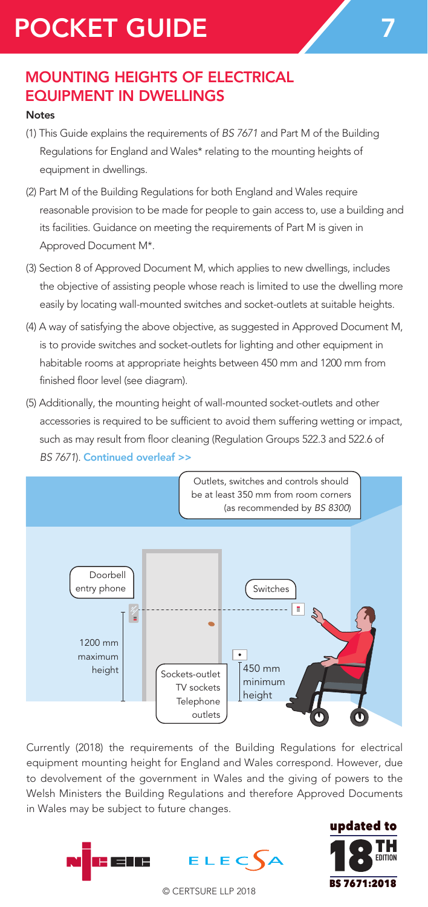# POCKET GUIDE

## MOUNTING HEIGHTS OF ELECTRICAL EQUIPMENT IN DWELLINGS

#### Notes

- (1) This Guide explains the requirements of *BS 7671* and Part M of the Building Regulations for England and Wales\* relating to the mounting heights of equipment in dwellings.
- (2) Part M of the Building Regulations for both England and Wales require reasonable provision to be made for people to gain access to, use a building and its facilities. Guidance on meeting the requirements of Part M is given in Approved Document M\*.
- (3) Section 8 of Approved Document M, which applies to new dwellings, includes the objective of assisting people whose reach is limited to use the dwelling more easily by locating wall-mounted switches and socket-outlets at suitable heights.
- (4) A way of satisfying the above objective, as suggested in Approved Document M, is to provide switches and socket-outlets for lighting and other equipment in habitable rooms at appropriate heights between 450 mm and 1200 mm from finished floor level (see diagram).
- (5) Additionally, the mounting height of wall-mounted socket-outlets and other accessories is required to be sufficient to avoid them suffering wetting or impact, such as may result from floor cleaning (Regulation Groups 522.3 and 522.6 of *BS 7671*). Continued overleaf >>



Currently (2018) the requirements of the Building Regulations for electrical equipment mounting height for England and Wales correspond. However, due to devolvement of the government in Wales and the giving of powers to the Welsh Ministers the Building Regulations and therefore Approved Documents in Wales may be subject to future changes.



**FRITION** 

updated to